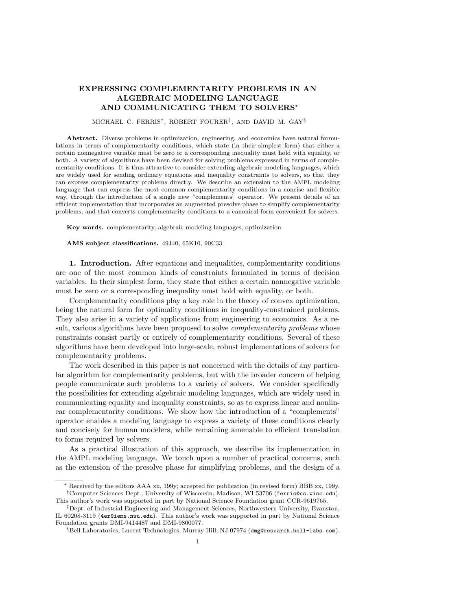# **EXPRESSING COMPLEMENTARITY PROBLEMS IN AN ALGEBRAIC MODELING LANGUAGE AND COMMUNICATING THEM TO SOLVERS**<sup>∗</sup>

### MICHAEL C. FERRIS†, ROBERT FOURER‡, AND DAVID M. GAY§

**Abstract.** Diverse problems in optimization, engineering, and economics have natural formulations in terms of complementarity conditions, which state (in their simplest form) that either a certain nonnegative variable must be zero or a corresponding inequality must hold with equality, or both. A variety of algorithms have been devised for solving problems expressed in terms of complementarity conditions. It is thus attractive to consider extending algebraic modeling languages, which are widely used for sending ordinary equations and inequality constraints to solvers, so that they can express complementarity problems directly. We describe an extension to the AMPL modeling language that can express the most common complementarity conditions in a concise and flexible way, through the introduction of a single new "complements" operator. We present details of an efficient implementation that incorporates an augmented presolve phase to simplify complementarity problems, and that converts complementarity conditions to a canonical form convenient for solvers.

**Key words.** complementarity, algebraic modeling languages, optimization

#### **AMS subject classifications.** 49J40, 65K10, 90C33

**1. Introduction.** After equations and inequalities, complementarity conditions are one of the most common kinds of constraints formulated in terms of decision variables. In their simplest form, they state that either a certain nonnegative variable must be zero or a corresponding inequality must hold with equality, or both.

Complementarity conditions play a key role in the theory of convex optimization, being the natural form for optimality conditions in inequality-constrained problems. They also arise in a variety of applications from engineering to economics. As a result, various algorithms have been proposed to solve *complementarity problems* whose constraints consist partly or entirely of complementarity conditions. Several of these algorithms have been developed into large-scale, robust implementations of solvers for complementarity problems.

The work described in this paper is not concerned with the details of any particular algorithm for complementarity problems, but with the broader concern of helping people communicate such problems to a variety of solvers. We consider specifically the possibilities for extending algebraic modeling languages, which are widely used in communicating equality and inequality constraints, so as to express linear and nonlinear complementarity conditions. We show how the introduction of a "complements" operator enables a modeling language to express a variety of these conditions clearly and concisely for human modelers, while remaining amenable to efficient translation to forms required by solvers.

As a practical illustration of this approach, we describe its implementation in the AMPL modeling language. We touch upon a number of practical concerns, such as the extension of the presolve phase for simplifying problems, and the design of a

<sup>∗</sup> Received by the editors AAA xx, 199y; accepted for publication (in revised form) BBB xx, 199y. †Computer Sciences Dept., University of Wisconsin, Madison, WI 53706 (ferris@cs.wisc.edu).

This author's work was supported in part by National Science Foundation grant CCR-9619765. ‡Dept. of Industrial Engineering and Management Sciences, Northwestern University, Evanston,

IL 60208-3119 (4er@iems.nwu.edu). This author's work was supported in part by National Science Foundation grants DMI-9414487 and DMI-9800077.

 $\S$ Bell Laboratories, Lucent Technologies, Murray Hill, NJ 07974 (dmg@research.bell-labs.com).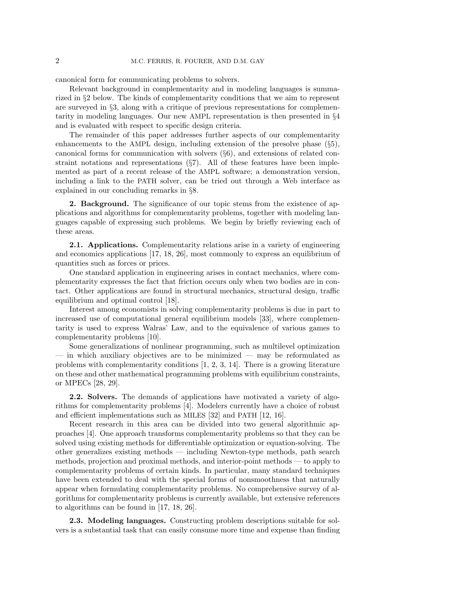canonical form for communicating problems to solvers.

Relevant background in complementarity and in modeling languages is summarized in §2 below. The kinds of complementarity conditions that we aim to represent are surveyed in §3, along with a critique of previous representations for complementarity in modeling languages. Our new AMPL representation is then presented in §4 and is evaluated with respect to specific design criteria.

The remainder of this paper addresses further aspects of our complementarity enhancements to the AMPL design, including extension of the presolve phase (§5), canonical forms for communication with solvers (§6), and extensions of related constraint notations and representations  $(\S7)$ . All of these features have been implemented as part of a recent release of the AMPL software; a demonstration version, including a link to the PATH solver, can be tried out through a Web interface as explained in our concluding remarks in §8.

**2. Background.** The significance of our topic stems from the existence of applications and algorithms for complementarity problems, together with modeling languages capable of expressing such problems. We begin by briefly reviewing each of these areas.

**2.1. Applications.** Complementarity relations arise in a variety of engineering and economics applications [17, 18, 26], most commonly to express an equilibrium of quantities such as forces or prices.

One standard application in engineering arises in contact mechanics, where complementarity expresses the fact that friction occurs only when two bodies are in contact. Other applications are found in structural mechanics, structural design, traffic equilibrium and optimal control [18].

Interest among economists in solving complementarity problems is due in part to increased use of computational general equilibrium models [33], where complementarity is used to express Walras' Law, and to the equivalence of various games to complementarity problems [10].

Some generalizations of nonlinear programming, such as multilevel optimization — in which auxiliary objectives are to be minimized — may be reformulated as problems with complementarity conditions  $[1, 2, 3, 14]$ . There is a growing literature on these and other mathematical programming problems with equilibrium constraints, or MPECs [28, 29].

**2.2. Solvers.** The demands of applications have motivated a variety of algorithms for complementarity problems [4]. Modelers currently have a choice of robust and efficient implementations such as MILES [32] and PATH [12, 16].

Recent research in this area can be divided into two general algorithmic approaches [4]. One approach transforms complementarity problems so that they can be solved using existing methods for differentiable optimization or equation-solving. The other generalizes existing methods — including Newton-type methods, path search methods, projection and proximal methods, and interior-point methods — to apply to complementarity problems of certain kinds. In particular, many standard techniques have been extended to deal with the special forms of nonsmoothness that naturally appear when formulating complementarity problems. No comprehensive survey of algorithms for complementarity problems is currently available, but extensive references to algorithms can be found in [17, 18, 26].

**2.3. Modeling languages.** Constructing problem descriptions suitable for solvers is a substantial task that can easily consume more time and expense than finding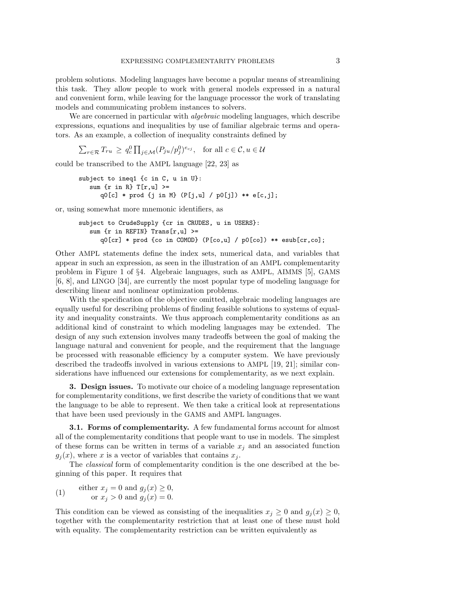problem solutions. Modeling languages have become a popular means of streamlining this task. They allow people to work with general models expressed in a natural and convenient form, while leaving for the language processor the work of translating models and communicating problem instances to solvers.

We are concerned in particular with *algebraic* modeling languages, which describe expressions, equations and inequalities by use of familiar algebraic terms and operators. As an example, a collection of inequality constraints defined by

 $\sum_{r \in \mathcal{R}} T_{ru} \geq q_c^0 \prod_{j \in \mathcal{M}} (P_{ju}/p_j^0)^{e_{cj}}, \text{ for all } c \in \mathcal{C}, u \in \mathcal{U}$ 

could be transcribed to the AMPL language [22, 23] as

```
subject to ineq1 {c in C, u in U}:
   sum \{r \text{ in R}\} T[r,u] >=
      q0[c] * prod {j in M} (P[j,u] / p0[j]) ** e[c,j];
```
or, using somewhat more mnemonic identifiers, as

```
subject to CrudeSupply {cr in CRUDES, u in USERS}:
  sum \{r in REFIN} Trans[r, u] >=
      q0[cr] * prod {co in COMOD} (P[co,u] / p0[co]) ** esub[cr,co];
```
Other AMPL statements define the index sets, numerical data, and variables that appear in such an expression, as seen in the illustration of an AMPL complementarity problem in Figure 1 of §4. Algebraic languages, such as AMPL, AIMMS [5], GAMS [6, 8], and LINGO [34], are currently the most popular type of modeling language for describing linear and nonlinear optimization problems.

With the specification of the objective omitted, algebraic modeling languages are equally useful for describing problems of finding feasible solutions to systems of equality and inequality constraints. We thus approach complementarity conditions as an additional kind of constraint to which modeling languages may be extended. The design of any such extension involves many tradeoffs between the goal of making the language natural and convenient for people, and the requirement that the language be processed with reasonable efficiency by a computer system. We have previously described the tradeoffs involved in various extensions to AMPL [19, 21]; similar considerations have influenced our extensions for complementarity, as we next explain.

**3. Design issues.** To motivate our choice of a modeling language representation for complementarity conditions, we first describe the variety of conditions that we want the language to be able to represent. We then take a critical look at representations that have been used previously in the GAMS and AMPL languages.

**3.1. Forms of complementarity.** A few fundamental forms account for almost all of the complementarity conditions that people want to use in models. The simplest of these forms can be written in terms of a variable  $x_j$  and an associated function  $g_i(x)$ , where *x* is a vector of variables that contains  $x_i$ .

The classical form of complementarity condition is the one described at the beginning of this paper. It requires that

(1) either  $x_j = 0$  and  $g_j(x) \ge 0$ ,<br>
or  $x_j > 0$  and  $g_j(x) = 0$ .

This condition can be viewed as consisting of the inequalities  $x_j \geq 0$  and  $g_j(x) \geq 0$ , together with the complementarity restriction that at least one of these must hold with equality. The complementarity restriction can be written equivalently as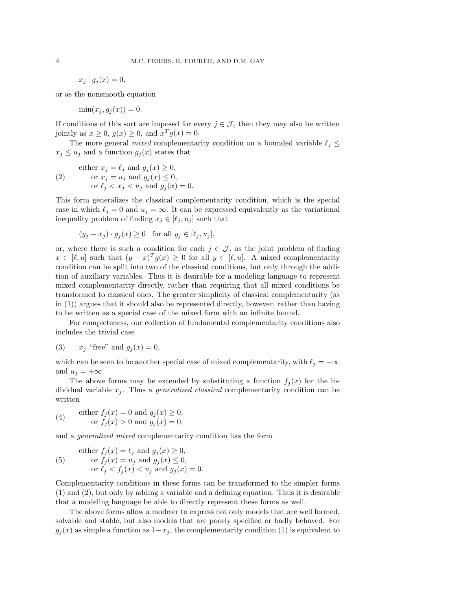$x_j \cdot g_j(x) = 0$ ,

or as the nonsmooth equation

 $\min(x_i, g_i(x)) = 0.$ 

If conditions of this sort are imposed for every  $j \in \mathcal{J}$ , then they may also be written jointly as  $x \geq 0$ ,  $q(x) \geq 0$ , and  $x^T q(x) = 0$ .

The more general *mixed* complementarity condition on a bounded variable  $\ell_i \leq$  $x_j \leq u_j$  and a function  $g_j(x)$  states that

(2) either  $x_j = \ell_j$  and  $g_j(x) \geq 0$ , or  $x_j = u_j$  and  $g_j(x) \leq 0$ , or  $\ell_j < x_j < u_j$  and  $g_j(x) = 0$ .

This form generalizes the classical complementarity condition, which is the special case in which  $\ell_j = 0$  and  $u_j = \infty$ . It can be expressed equivalently as the variational inequality problem of finding  $x_j \in [\ell_j, u_j]$  such that

$$
(y_j - x_j) \cdot g_j(x) \ge 0 \quad \text{for all } y_j \in [\ell_j, u_j],
$$

or, where there is such a condition for each  $j \in \mathcal{J}$ , as the joint problem of finding *x* ∈ [ $\ell, u$ ] such that  $(y - x)^T g(x) \ge 0$  for all  $y \in [\ell, u]$ . A mixed complementarity condition can be split into two of the classical conditions, but only through the addition of auxiliary variables. Thus it is desirable for a modeling language to represent mixed complementarity directly, rather than requiring that all mixed conditions be transformed to classical ones. The greater simplicity of classical complementarity (as in (1)) argues that it should also be represented directly, however, rather than having to be written as a special case of the mixed form with an infinite bound.

For completeness, our collection of fundamental complementarity conditions also includes the trivial case

(3) 
$$
x_j
$$
 "free" and  $g_j(x) = 0$ ,

which can be seen to be another special case of mixed complementarity, with  $\ell_j = -\infty$ and  $u_j = +\infty$ .

The above forms may be extended by substituting a function  $f_j(x)$  for the individual variable  $x_j$ . Thus a *generalized classical* complementarity condition can be written

(4) either  $f_j(x) = 0$  and  $g_j(x) \ge 0$ ,<br>
or  $f_j(x) > 0$  and  $g_j(x) = 0$ ,

and a generalized mixed complementarity condition has the form

$$
\begin{aligned}\n\text{either } f_j(x) &= \ell_j \text{ and } g_j(x) \ge 0, \\
\text{(5)} \qquad \text{or } f_j(x) &= u_j \text{ and } g_j(x) \le 0, \\
\text{or } \ell_j < f_j(x) < u_j \text{ and } g_j(x) = 0.\n\end{aligned}
$$

Complementarity conditions in these forms can be transformed to the simpler forms (1) and (2), but only by adding a variable and a defining equation. Thus it is desirable that a modeling language be able to directly represent these forms as well.

The above forms allow a modeler to express not only models that are well formed, solvable and stable, but also models that are poorly specified or badly behaved. For  $g_j(x)$  as simple a function as  $1-x_j$ , the complementarity condition (1) is equivalent to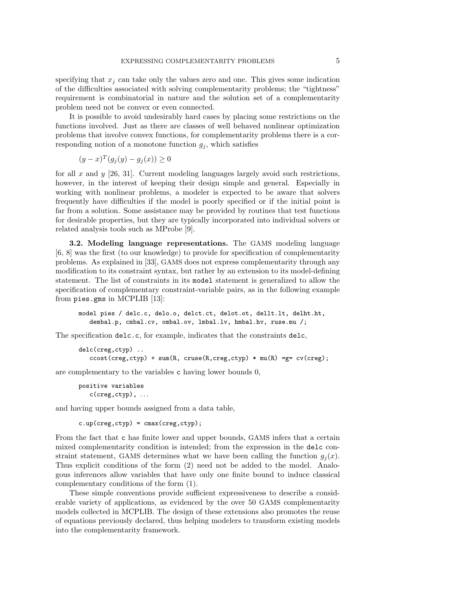specifying that  $x_j$  can take only the values zero and one. This gives some indication of the difficulties associated with solving complementarity problems; the "tightness" requirement is combinatorial in nature and the solution set of a complementarity problem need not be convex or even connected.

It is possible to avoid undesirably hard cases by placing some restrictions on the functions involved. Just as there are classes of well behaved nonlinear optimization problems that involve convex functions, for complementarity problems there is a corresponding notion of a monotone function  $g_j$ , which satisfies

$$
(y-x)^T (g_j(y) - g_j(x)) \ge 0
$$

for all *x* and *y* [26, 31]. Current modeling languages largely avoid such restrictions, however, in the interest of keeping their design simple and general. Especially in working with nonlinear problems, a modeler is expected to be aware that solvers frequently have difficulties if the model is poorly specified or if the initial point is far from a solution. Some assistance may be provided by routines that test functions for desirable properties, but they are typically incorporated into individual solvers or related analysis tools such as MProbe [9].

**3.2. Modeling language representations.** The GAMS modeling language [6, 8] was the first (to our knowledge) to provide for specification of complementarity problems. As explained in [33], GAMS does not express complementarity through any modification to its constraint syntax, but rather by an extension to its model-defining statement. The list of constraints in its model statement is generalized to allow the specification of complementary constraint-variable pairs, as in the following example from pies.gms in MCPLIB [13]:

```
model pies / delc.c, delo.o, delct.ct, delot.ot, dellt.lt, delht.ht,
   dembal.p, cmbal.cv, ombal.ov, lmbal.lv, hmbal.hv, ruse.mu /;
```
The specification delc.c, for example, indicates that the constraints delc,

```
delc(creg,ctyp) ..
   ccost(creg,ctyp) + sum(R, cruse(R,creg,ctyp) * mu(R) =g= cv(creg);
```
are complementary to the variables c having lower bounds 0,

positive variables c(creg,ctyp), ...

and having upper bounds assigned from a data table,

 $c.up(creg,ctyp) = cmax(creg,ctyp);$ 

From the fact that c has finite lower and upper bounds, GAMS infers that a certain mixed complementarity condition is intended; from the expression in the delc constraint statement, GAMS determines what we have been calling the function  $g_i(x)$ . Thus explicit conditions of the form (2) need not be added to the model. Analogous inferences allow variables that have only one finite bound to induce classical complementary conditions of the form (1).

These simple conventions provide sufficient expressiveness to describe a considerable variety of applications, as evidenced by the over 50 GAMS complementarity models collected in MCPLIB. The design of these extensions also promotes the reuse of equations previously declared, thus helping modelers to transform existing models into the complementarity framework.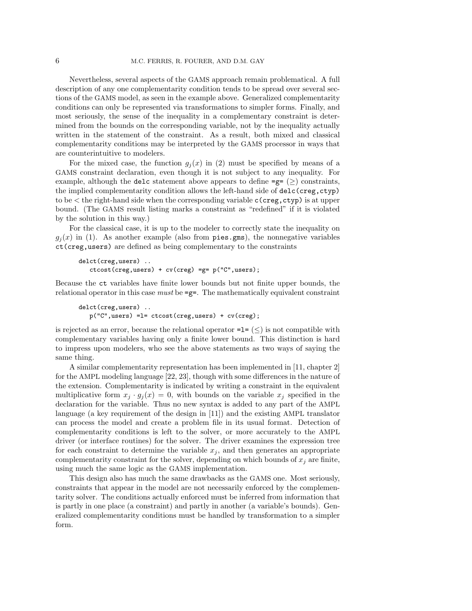Nevertheless, several aspects of the GAMS approach remain problematical. A full description of any one complementarity condition tends to be spread over several sections of the GAMS model, as seen in the example above. Generalized complementarity conditions can only be represented via transformations to simpler forms. Finally, and most seriously, the sense of the inequality in a complementary constraint is determined from the bounds on the corresponding variable, not by the inequality actually written in the statement of the constraint. As a result, both mixed and classical complementarity conditions may be interpreted by the GAMS processor in ways that are counterintuitive to modelers.

For the mixed case, the function  $g_i(x)$  in (2) must be specified by means of a GAMS constraint declaration, even though it is not subject to any inequality. For example, although the delc statement above appears to define  $=\mathbf{g}=(\geq)$  constraints, the implied complementarity condition allows the left-hand side of delc(creg,ctyp) to be  $\lt$  the right-hand side when the corresponding variable  $c(creg, ctyp)$  is at upper bound. (The GAMS result listing marks a constraint as "redefined" if it is violated by the solution in this way.)

For the classical case, it is up to the modeler to correctly state the inequality on  $g_i(x)$  in (1). As another example (also from pies.gms), the nonnegative variables ct(creg,users) are defined as being complementary to the constraints

```
delct(creg,users) ..
   ctcost(creg,users) + cv(creg) =g= p("C",users);
```
Because the ct variables have finite lower bounds but not finite upper bounds, the relational operator in this case must be  $=\mathbf{g}$ . The mathematically equivalent constraint

```
delct(creg,users) ..
  p("C",users) =l= ctcost(creg,users) + cv(creg);
```
is rejected as an error, because the relational operator  $=1=(\le)$  is not compatible with complementary variables having only a finite lower bound. This distinction is hard to impress upon modelers, who see the above statements as two ways of saying the same thing.

A similar complementarity representation has been implemented in [11, chapter 2] for the AMPL modeling language [22, 23], though with some differences in the nature of the extension. Complementarity is indicated by writing a constraint in the equivalent multiplicative form  $x_j \cdot g_j(x) = 0$ , with bounds on the variable  $x_j$  specified in the declaration for the variable. Thus no new syntax is added to any part of the AMPL language (a key requirement of the design in [11]) and the existing AMPL translator can process the model and create a problem file in its usual format. Detection of complementarity conditions is left to the solver, or more accurately to the AMPL driver (or interface routines) for the solver. The driver examines the expression tree for each constraint to determine the variable  $x_j$ , and then generates an appropriate complementarity constraint for the solver, depending on which bounds of  $x_j$  are finite, using much the same logic as the GAMS implementation.

This design also has much the same drawbacks as the GAMS one. Most seriously, constraints that appear in the model are not necessarily enforced by the complementarity solver. The conditions actually enforced must be inferred from information that is partly in one place (a constraint) and partly in another (a variable's bounds). Generalized complementarity conditions must be handled by transformation to a simpler form.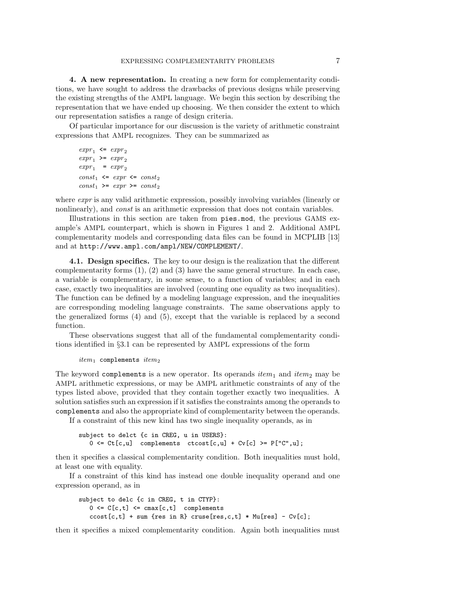**4. A new representation.** In creating a new form for complementarity conditions, we have sought to address the drawbacks of previous designs while preserving the existing strengths of the AMPL language. We begin this section by describing the representation that we have ended up choosing. We then consider the extent to which our representation satisfies a range of design criteria.

Of particular importance for our discussion is the variety of arithmetic constraint expressions that AMPL recognizes. They can be summarized as

```
expr_1 \leq expr_2expr_1 \geq -expr_2expr_1 = expr_2const_1 \leq ext_1 \leq cont_2const_1 >= expr >= const_2
```
where *expr* is any valid arithmetic expression, possibly involving variables (linearly or nonlinearly), and *const* is an arithmetic expression that does not contain variables.

Illustrations in this section are taken from pies.mod, the previous GAMS example's AMPL counterpart, which is shown in Figures 1 and 2. Additional AMPL complementarity models and corresponding data files can be found in MCPLIB [13] and at http://www.ampl.com/ampl/NEW/COMPLEMENT/.

**4.1. Design specifics.** The key to our design is the realization that the different complementarity forms (1), (2) and (3) have the same general structure. In each case, a variable is complementary, in some sense, to a function of variables; and in each case, exactly two inequalities are involved (counting one equality as two inequalities). The function can be defined by a modeling language expression, and the inequalities are corresponding modeling language constraints. The same observations apply to the generalized forms (4) and (5), except that the variable is replaced by a second function.

These observations suggest that all of the fundamental complementarity conditions identified in §3.1 can be represented by AMPL expressions of the form

```
item1 complements item2
```
The keyword complements is a new operator. Its operands  $item_1$  and  $item_2$  may be AMPL arithmetic expressions, or may be AMPL arithmetic constraints of any of the types listed above, provided that they contain together exactly two inequalities. A solution satisfies such an expression if it satisfies the constraints among the operands to complements and also the appropriate kind of complementarity between the operands.

If a constraint of this new kind has two single inequality operands, as in

subject to delct {c in CREG, u in USERS}:  $0 \leq CL[c,u]$  complements  $ctcost[c,u] + Cv[c] > P['C'',u];$ 

then it specifies a classical complementarity condition. Both inequalities must hold, at least one with equality.

If a constraint of this kind has instead one double inequality operand and one expression operand, as in

```
subject to delc {c in CREG, t in CTYP}:
  0 \leq C[c, t] \leq \text{cmax}[c, t] complements
   cost[c, t] + sum{res in R} cruse[res, c, t] * Mu[res] - Cv[c];
```
then it specifies a mixed complementarity condition. Again both inequalities must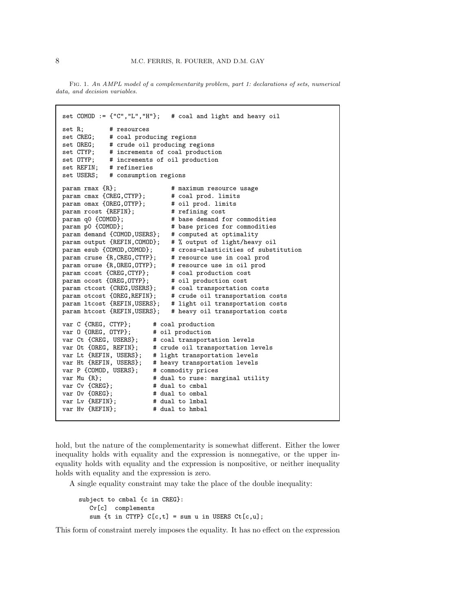Fig. 1. *An AMPL model of a complementarity problem, part 1: declarations of sets, numerical data, and decision variables.*

```
set COMOD := \{''C'', "L'', "H''\}; # coal and light and heavy oil
set R; # resources<br>set CREG; # coal prod
set CREG; # coal producing regions<br>set OREG; # crude oil producing re
                 # crude oil producing regions
set CTYP; # increments of coal production<br>set OTYP; # increments of oil production
set OTYP; # increments of oil production<br>set REFIN: # refineries
                # refineries
set USERS; # consumption regions
param rmax {R}; # maximum resource usage<br>param cmax {CREG, CTYP}; # coal prod. limits
param cmax {CREG, CTYP};
param omax {OREG, OTYP}; # oil prod. limits<br>param rcost {REFIN}; # refining cost
param rcost {REFIN};
param q0 {COMOD}; \qquad # base demand for commodities
param p0 {COMOD}; \qquad # base prices for commodities
param demand {COMOD, USERS}; # computed at optimality<br>param output {REFIN, COMOD}; # % output of light/heavy
                                     # % output of light/heavy oil
param esub {COMOD,COMOD}; # cross-elasticities of substitution
param cruse {R,CREG,CTYP}; # resource use in coal prod<br>param oruse {R,OREG,OTYP}; # resource use in oil prod
                                        # resource use in oil prod
param ccost {CREG,CTYP}; # coal production cost
param ocost {OREG,OTYP}; # oil production cost
param ctcost {CREG, USERS}; # coal transportation costs<br>param otcost {OREG, REFIN}; # crude oil transportation
param otcost {OREG,REFIN}; # crude oil transportation costs<br>param ltcost {REFIN,USERS}; # light oil transportation costs
                                     # light oil transportation costs
param htcost {REFIN,USERS}; # heavy oil transportation costs
var C {CREG, CTYP}; # coal production
var 0 {OREG, OTYP}; # oil production
var Ct {CREG, USERS}; # coal transportation levels<br>var Ot {OREG, REFIN}; # crude oil transportation l
var Ot {OREG, REFIN}; # crude oil transportation levels<br>var Lt {REFIN, USERS}; # light transportation levels
                                # light transportation levels
var Ht {REFIN, USERS}; # heavy transportation levels<br>var P {COMOD, USERS}; # commodity prices
var P {COMOD, USERS};
var Mu {R}; <br>var Cv {CREG}; <br># dual to cmbal <br># dual to cmbal
var Cv {CREG};<br>
var Ov {OREG};<br>
# dual to ombal
                                # dual to ombal
var Lv {REFIN}; # dual to lmbal
var Hv {REFIN}; # dual to hmbal
```
hold, but the nature of the complementarity is somewhat different. Either the lower inequality holds with equality and the expression is nonnegative, or the upper inequality holds with equality and the expression is nonpositive, or neither inequality holds with equality and the expression is zero.

A single equality constraint may take the place of the double inequality:

```
subject to cmbal {c in CREG}:
  Cv[c] complements
  sum {t in CTYP} C[c, t] = sum u in USERS Ct[c, u];
```
This form of constraint merely imposes the equality. It has no effect on the expression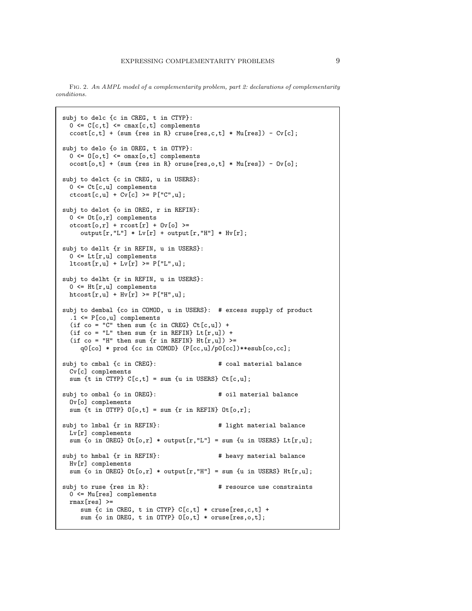Fig. 2. *An AMPL model of a complementarity problem, part 2: declarations of complementarity conditions.*

```
subj to delc {c in CREG, t in CTYP}:
  0 \leq C[c, t] \leq \text{cmax}[c, t] complements
  cost[c, t] + (sum fres in R) cruse[res, c, t] * Mu[res]) - Cv[c];subj to delo {o in OREG, t in OTYP}:
  0 \leq 0[o,t] \leq omax[o,t] complements
  ocost[0,t] + (sum [res in R] or use[res, o,t] * Mu[res]) - 0v[o];subj to delct {c in CREG, u in USERS}:
  0 \leq C t[c,u] complements
  ctcost[c,u] + Cv[c] \geq P['C",u];subj to delot {o in OREG, r in REFIN}:
  0 \leq U [o,r] complements
  otcost[0,r] + roost[r] + 0v[0] >=output[r,"L"] * Lv[r] + output[r,"H"] * Hv[r];
subj to dellt {r in REFIN, u in USERS}:
  0 \leq Lt[r,u] complements
  ltcost[r,u] + Lv[r] \geq P['L",u];subj to delht {r in REFIN, u in USERS}:
  0 \leq Ht[r,u] complements
 htcost[r,u] + Hv[r] \geq P['H'',u];subj to dembal {co in COMOD, u in USERS}: # excess supply of product
  .1 \leq P[\text{co},\text{u}] complements
  (if co = "C" then sum {c \text{ in } CREG} Ct[c,u]) +
  (if co = "L" then sum \{r in REFIN\} Lt[r, u]) +
  (if co = "H" then sum \{r \text{ in } REFIN\} Ht[r,u]) >=
     q0[co] * prod {cc in COMOD} (P[cc,u]/p0[cc])**esub[co,cc];
subj to cmbal {c in CREG}: \qquad # coal material balance
  Cv[c] complements
  sum {t in CTYP} C[c, t] = \text{sum} {u in USERS} Ct[c, u];
subj to ombal {o in OREG}: \qquad # oil material balance
  Ov[o] complements
  sum {t in OTYP} 0[0,t] = \text{sum} \{r \text{ in } \text{REFIN} \} 0[t[0,r];subj to lmbal {r in REFIN}: # light material balance
  Lv[r] complements
  sum {o in OREG} 0t[0,r] * output[r,"L"] = sum {u in USERS} Lt[r,u];
subj to hmbal {r in REFIN}: # heavy material balance
 Hv[r] complements
 sum {o in OREG} Ot[o,r] * output[r, "H"] = sum {u in USERS} Ht[r,u];
subj to ruse {res in R}: \qquad # resource use constraints
 0 <= Mu[res] complements
 rmax[res] >=
     sum {c in CREG, t in CTYP} C[c,t] * cruse[res,c,t] +
     sum {o in OREG, t in OTYP} O[o,t] * oruse[res,o,t];
```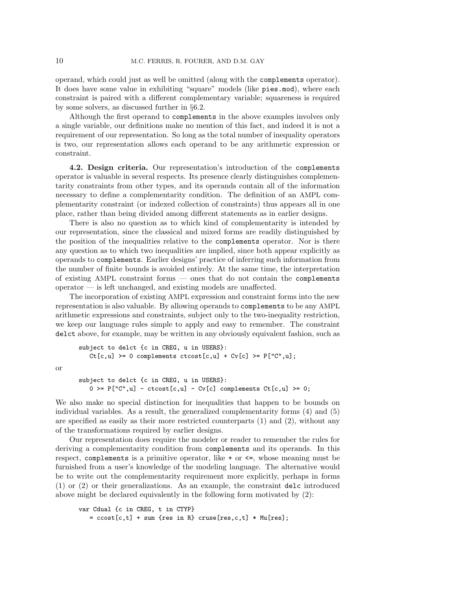operand, which could just as well be omitted (along with the complements operator). It does have some value in exhibiting "square" models (like pies.mod), where each constraint is paired with a different complementary variable; squareness is required by some solvers, as discussed further in §6.2.

Although the first operand to complements in the above examples involves only a single variable, our definitions make no mention of this fact, and indeed it is not a requirement of our representation. So long as the total number of inequality operators is two, our representation allows each operand to be any arithmetic expression or constraint.

**4.2. Design criteria.** Our representation's introduction of the complements operator is valuable in several respects. Its presence clearly distinguishes complementarity constraints from other types, and its operands contain all of the information necessary to define a complementarity condition. The definition of an AMPL complementarity constraint (or indexed collection of constraints) thus appears all in one place, rather than being divided among different statements as in earlier designs.

There is also no question as to which kind of complementarity is intended by our representation, since the classical and mixed forms are readily distinguished by the position of the inequalities relative to the complements operator. Nor is there any question as to which two inequalities are implied, since both appear explicitly as operands to complements. Earlier designs' practice of inferring such information from the number of finite bounds is avoided entirely. At the same time, the interpretation of existing AMPL constraint forms — ones that do not contain the complements operator — is left unchanged, and existing models are unaffected.

The incorporation of existing AMPL expression and constraint forms into the new representation is also valuable. By allowing operands to complements to be any AMPL arithmetic expressions and constraints, subject only to the two-inequality restriction, we keep our language rules simple to apply and easy to remember. The constraint delct above, for example, may be written in any obviously equivalent fashion, such as

```
subject to delct {c in CREG, u in USERS}:
  Ct[c,u] \ge 0 complements ctcost[c,u] + Cv[c] \ge P['C",u];
```
or

```
subject to delct {c in CREG, u in USERS}:
   0 \ge P["C", u] - \text{ctcost}[c, u] - \text{Cv}[c] complements \text{Ct}[c, u] \ge 0;
```
We also make no special distinction for inequalities that happen to be bounds on individual variables. As a result, the generalized complementarity forms (4) and (5) are specified as easily as their more restricted counterparts (1) and (2), without any of the transformations required by earlier designs.

Our representation does require the modeler or reader to remember the rules for deriving a complementarity condition from complements and its operands. In this respect, complements is a primitive operator, like  $+$  or  $\leq$ , whose meaning must be furnished from a user's knowledge of the modeling language. The alternative would be to write out the complementarity requirement more explicitly, perhaps in forms (1) or (2) or their generalizations. As an example, the constraint delc introduced above might be declared equivalently in the following form motivated by (2):

```
var Cdual {c in CREG, t in CTYP}
    = \text{cost}[c, t] + \text{sum} \{ \text{res} \text{ in R} \} \text{ cruse}[\text{res}, c, t] * \text{Mu}[\text{res}];
```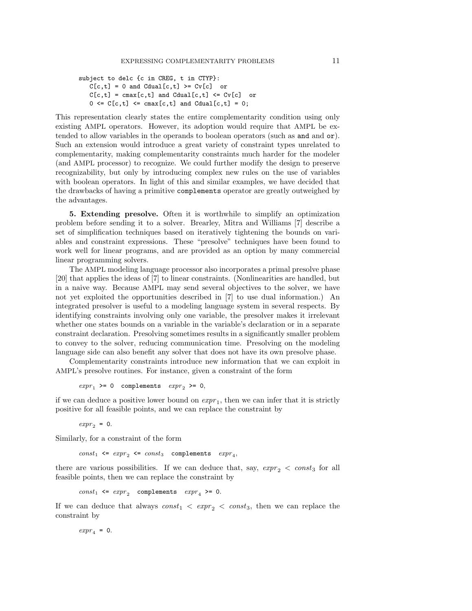```
subject to delc {c in CREG, t in CTYP}:
   C[c, t] = 0 and Cdual[c, t] \geq CV[c] or
   C[c, t] = \text{cmax}[c, t] and \text{Cdual}[c, t] \leq C[v[c]] or
   0 \leq C[c, t] \leq \text{cmax}[c, t] and \text{Cdual}[c, t] = 0;
```
This representation clearly states the entire complementarity condition using only existing AMPL operators. However, its adoption would require that AMPL be extended to allow variables in the operands to boolean operators (such as and and or). Such an extension would introduce a great variety of constraint types unrelated to complementarity, making complementarity constraints much harder for the modeler (and AMPL processor) to recognize. We could further modify the design to preserve recognizability, but only by introducing complex new rules on the use of variables with boolean operators. In light of this and similar examples, we have decided that the drawbacks of having a primitive complements operator are greatly outweighed by the advantages.

**5. Extending presolve.** Often it is worthwhile to simplify an optimization problem before sending it to a solver. Brearley, Mitra and Williams [7] describe a set of simplification techniques based on iteratively tightening the bounds on variables and constraint expressions. These "presolve" techniques have been found to work well for linear programs, and are provided as an option by many commercial linear programming solvers.

The AMPL modeling language processor also incorporates a primal presolve phase [20] that applies the ideas of [7] to linear constraints. (Nonlinearities are handled, but in a naive way. Because AMPL may send several objectives to the solver, we have not yet exploited the opportunities described in [7] to use dual information.) An integrated presolver is useful to a modeling language system in several respects. By identifying constraints involving only one variable, the presolver makes it irrelevant whether one states bounds on a variable in the variable's declaration or in a separate constraint declaration. Presolving sometimes results in a significantly smaller problem to convey to the solver, reducing communication time. Presolving on the modeling language side can also benefit any solver that does not have its own presolve phase.

Complementarity constraints introduce new information that we can exploit in AMPL's presolve routines. For instance, given a constraint of the form

```
expr_1 \ge 0 complements expr_2 \ge 0,
```
if we can deduce a positive lower bound on  $\exp r_1$ , then we can infer that it is strictly positive for all feasible points, and we can replace the constraint by

 $expr_2 = 0.$ 

Similarly, for a constraint of the form

 $const_1 \leq \exp r_2 \leq \text{const}_3 \text{ completments} \exp r_4,$ 

there are various possibilities. If we can deduce that, say,  $\exp r_2 < \text{const}_3$  for all feasible points, then we can replace the constraint by

 $const_1 \leq expr_2$  complements  $expr_4 \geq 0$ .

If we can deduce that always  $const_1 < exp_2 < const_3$ , then we can replace the constraint by

 $expr_4 = 0.$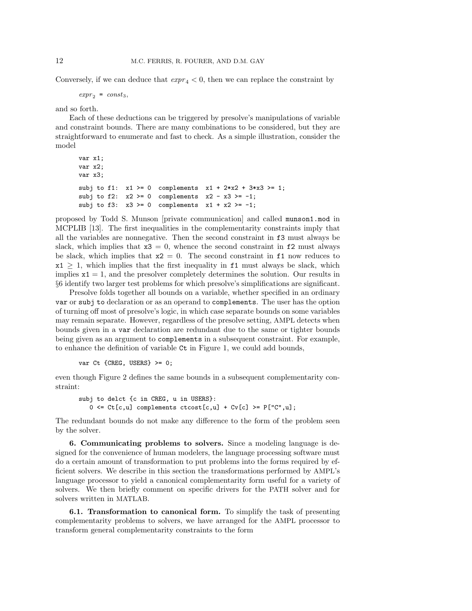Conversely, if we can deduce that  $\exp r_4 < 0$ , then we can replace the constraint by

 $expr_2 = const_3$ ,

and so forth.

Each of these deductions can be triggered by presolve's manipulations of variable and constraint bounds. There are many combinations to be considered, but they are straightforward to enumerate and fast to check. As a simple illustration, consider the model

```
var x1;
var x2;
var x3;
subj to f1: x1 \ge 0 complements x1 + 2*x2 + 3*x3 \ge 1;
subj to f2: x2 \ge 0 complements x2 - x3 \ge -1;
subj to f3: x3 \ge 0 complements x1 + x2 \ge -1;
```
proposed by Todd S. Munson [private communication] and called munson1.mod in MCPLIB [13]. The first inequalities in the complementarity constraints imply that all the variables are nonnegative. Then the second constraint in f3 must always be slack, which implies that  $x3 = 0$ , whence the second constraint in f2 must always be slack, which implies that  $x^2 = 0$ . The second constraint in f1 now reduces to  $x1 \geq 1$ , which implies that the first inequality in f1 must always be slack, which implies  $x1 = 1$ , and the presolver completely determines the solution. Our results in §6 identify two larger test problems for which presolve's simplifications are significant.

Presolve folds together all bounds on a variable, whether specified in an ordinary var or subj to declaration or as an operand to complements. The user has the option of turning off most of presolve's logic, in which case separate bounds on some variables may remain separate. However, regardless of the presolve setting, AMPL detects when bounds given in a var declaration are redundant due to the same or tighter bounds being given as an argument to complements in a subsequent constraint. For example, to enhance the definition of variable Ct in Figure 1, we could add bounds,

var Ct {CREG, USERS} >= 0;

even though Figure 2 defines the same bounds in a subsequent complementarity constraint:

```
subj to delct {c in CREG, u in USERS}:
  0 \leq CL[c,u] complements ctcost[c,u] + Cv[c] > P['C'',u];
```
The redundant bounds do not make any difference to the form of the problem seen by the solver.

**6. Communicating problems to solvers.** Since a modeling language is designed for the convenience of human modelers, the language processing software must do a certain amount of transformation to put problems into the forms required by efficient solvers. We describe in this section the transformations performed by AMPL's language processor to yield a canonical complementarity form useful for a variety of solvers. We then briefly comment on specific drivers for the PATH solver and for solvers written in MATLAB.

**6.1. Transformation to canonical form.** To simplify the task of presenting complementarity problems to solvers, we have arranged for the AMPL processor to transform general complementarity constraints to the form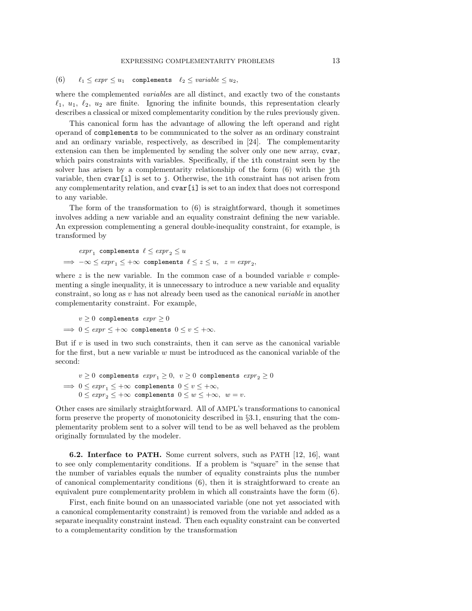(6)  $\ell_1 \leq exp r \leq u_1$  complements  $\ell_2 \leq variable \leq u_2$ ,

where the complemented *variables* are all distinct, and exactly two of the constants  $\ell_1$ ,  $u_1$ ,  $\ell_2$ ,  $u_2$  are finite. Ignoring the infinite bounds, this representation clearly describes a classical or mixed complementarity condition by the rules previously given.

This canonical form has the advantage of allowing the left operand and right operand of complements to be communicated to the solver as an ordinary constraint and an ordinary variable, respectively, as described in [24]. The complementarity extension can then be implemented by sending the solver only one new array, cvar, which pairs constraints with variables. Specifically, if the ith constraint seen by the solver has arisen by a complementarity relationship of the form (6) with the jth variable, then cvar[i] is set to j. Otherwise, the ith constraint has not arisen from any complementarity relation, and cvar[i] is set to an index that does not correspond to any variable.

The form of the transformation to (6) is straightforward, though it sometimes involves adding a new variable and an equality constraint defining the new variable. An expression complementing a general double-inequality constraint, for example, is transformed by

 $expr_1$  complements  $\ell \leq expr_2 \leq u$  $\implies -\infty \leq exp r_1 \leq +\infty$  complements  $\ell \leq z \leq u$ ,  $z = exp r_2$ ,

where  $z$  is the new variable. In the common case of a bounded variable  $v$  complementing a single inequality, it is unnecessary to introduce a new variable and equality constraint, so long as *v* has not already been used as the canonical *variable* in another complementarity constraint. For example,

 $v \geq 0$  complements  $expr \geq 0$  $\implies 0 \leq exp r \leq +\infty$  complements  $0 \leq v \leq +\infty$ .

But if  $v$  is used in two such constraints, then it can serve as the canonical variable for the first, but a new variable *w* must be introduced as the canonical variable of the second:

 $v \geq 0$  complements  $expr_1 \geq 0$ ,  $v \geq 0$  complements  $expr_2 \geq 0$  $\implies 0 \leq exp r_1 \leq +\infty$  complements  $0 \leq v \leq +\infty$ ,  $0 \leq exp r_2 \leq +\infty$  complements  $0 \leq w \leq +\infty$ ,  $w=v$ .

Other cases are similarly straightforward. All of AMPL's transformations to canonical form preserve the property of monotonicity described in §3.1, ensuring that the complementarity problem sent to a solver will tend to be as well behaved as the problem originally formulated by the modeler.

**6.2. Interface to PATH.** Some current solvers, such as PATH [12, 16], want to see only complementarity conditions. If a problem is "square" in the sense that the number of variables equals the number of equality constraints plus the number of canonical complementarity conditions (6), then it is straightforward to create an equivalent pure complementarity problem in which all constraints have the form (6).

First, each finite bound on an unassociated variable (one not yet associated with a canonical complementarity constraint) is removed from the variable and added as a separate inequality constraint instead. Then each equality constraint can be converted to a complementarity condition by the transformation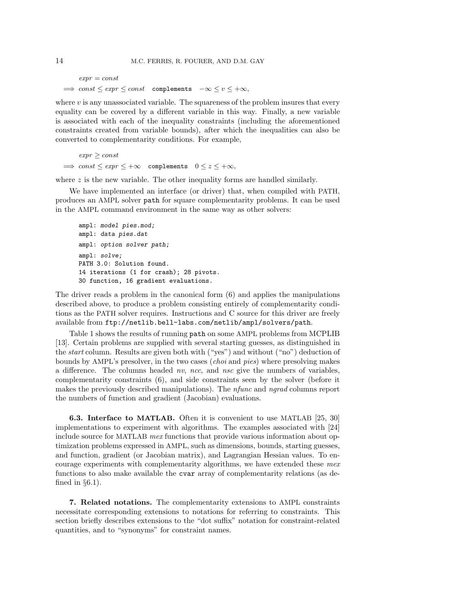```
expr = const
\implies \text{const} \leq \text{expr} \leq \text{const} complements -\infty \leq v \leq +\infty,
```
where  $v$  is any unassociated variable. The squareness of the problem insures that every equality can be covered by a different variable in this way. Finally, a new variable is associated with each of the inequality constraints (including the aforementioned constraints created from variable bounds), after which the inequalities can also be converted to complementarity conditions. For example,

```
expr ≥ const
\implies const \leq expr \leq +\infty complements 0 \leq z \leq +\infty,
```
where  $z$  is the new variable. The other inequality forms are handled similarly.

We have implemented an interface (or driver) that, when compiled with PATH, produces an AMPL solver path for square complementarity problems. It can be used in the AMPL command environment in the same way as other solvers:

```
ampl: model pies.mod;
ampl: data pies.dat
ampl: option solver path;
ampl: solve;
PATH 3.0: Solution found.
14 iterations (1 for crash); 28 pivots.
30 function, 16 gradient evaluations.
```
The driver reads a problem in the canonical form (6) and applies the manipulations described above, to produce a problem consisting entirely of complementarity conditions as the PATH solver requires. Instructions and C source for this driver are freely available from ftp://netlib.bell-labs.com/netlib/ampl/solvers/path.

Table 1 shows the results of running path on some AMPL problems from MCPLIB [13]. Certain problems are supplied with several starting guesses, as distinguished in the start column. Results are given both with ("yes") and without ("no") deduction of bounds by AMPL's presolver, in the two cases (choi and pies) where presolving makes a difference. The columns headed nv, ncc, and nsc give the numbers of variables, complementarity constraints (6), and side constraints seen by the solver (before it makes the previously described manipulations). The nfunc and ngrad columns report the numbers of function and gradient (Jacobian) evaluations.

**6.3. Interface to MATLAB.** Often it is convenient to use MATLAB [25, 30] implementations to experiment with algorithms. The examples associated with [24] include source for MATLAB mex functions that provide various information about optimization problems expressed in AMPL, such as dimensions, bounds, starting guesses, and function, gradient (or Jacobian matrix), and Lagrangian Hessian values. To encourage experiments with complementarity algorithms, we have extended these mex functions to also make available the cvar array of complementarity relations (as defined in  $\S6.1$ ).

**7. Related notations.** The complementarity extensions to AMPL constraints necessitate corresponding extensions to notations for referring to constraints. This section briefly describes extensions to the "dot suffix" notation for constraint-related quantities, and to "synonyms" for constraint names.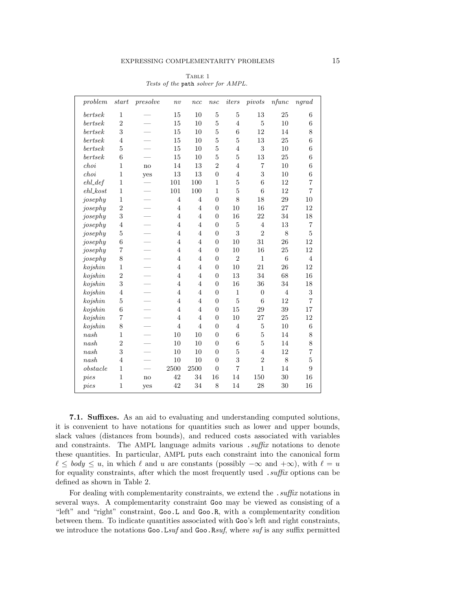TABLE 1 *Tests of the* path *solver for AMPL.*

| problem    | start          | presolve | nv             | ncc            | nsc            | iters            | pivots         | nfunc          | ngrad                   |
|------------|----------------|----------|----------------|----------------|----------------|------------------|----------------|----------------|-------------------------|
| bertsek    | $\mathbf{1}$   |          | 15             | 10             | $\overline{5}$ | 5                | 13             | 25             | 6                       |
| bertsek    | $\overline{2}$ |          | 15             | 10             | $\overline{5}$ | $\overline{4}$   | $\overline{5}$ | 10             | 6                       |
| bertsek    | 3              |          | 15             | 10             | $\overline{5}$ | $\boldsymbol{6}$ | 12             | 14             | 8                       |
| bertsek    | $\overline{4}$ |          | 15             | 10             | $\overline{5}$ | 5                | 13             | 25             | $\,6$                   |
| bertsek    | $\overline{5}$ |          | 15             | 10             | $\overline{5}$ | $\overline{4}$   | 3              | 10             | $\,6$                   |
| bertsek    | 6              |          | 15             | 10             | 5              | 5                | 13             | 25             | $\,6$                   |
| $choi$     | $\mathbf{1}$   | no       | 14             | 13             | $\overline{2}$ | $\overline{4}$   | $\overline{7}$ | 10             | $\,6$                   |
| $choi$     | $\mathbf{1}$   | yes      | 13             | 13             | $\overline{0}$ | $\overline{4}$   | 3              | 10             | $\,6$                   |
| $ehl\_def$ | $\overline{1}$ |          | 101            | 100            | $\mathbf{1}$   | $\overline{5}$   | $\overline{6}$ | 12             | $\overline{\mathbf{7}}$ |
| $ehl_k$    | $\mathbf{1}$   |          | 101            | 100            | $\mathbf{1}$   | $\overline{5}$   | 6              | 12             | $\overline{7}$          |
| josephy    | $\overline{1}$ |          | $\overline{4}$ | $\overline{4}$ | $\overline{0}$ | 8                | 18             | 29             | 10                      |
| josephy    | $\overline{2}$ |          | $\overline{4}$ | $\overline{4}$ | $\theta$       | 10               | 16             | 27             | 12                      |
| josephy    | 3              |          | $\overline{4}$ | $\overline{4}$ | $\overline{0}$ | 16               | 22             | 34             | 18                      |
| josephy    | $\overline{4}$ |          | $\overline{4}$ | $\overline{4}$ | $\overline{0}$ | $\overline{5}$   | $\overline{4}$ | 13             | $\overline{7}$          |
| josephy    | $\overline{5}$ |          | $\overline{4}$ | $\overline{4}$ | $\overline{0}$ | 3                | $\overline{2}$ | 8              | $\overline{5}$          |
| josephy    | 6              |          | $\overline{4}$ | $\overline{4}$ | $\theta$       | 10               | 31             | 26             | 12                      |
| josephy    | $\overline{7}$ |          | $\overline{4}$ | $\overline{4}$ | $\theta$       | 10               | 16             | 25             | 12                      |
| josephy    | 8              |          | $\overline{4}$ | $\overline{4}$ | $\overline{0}$ | $\overline{2}$   | $\mathbf{1}$   | 6              | $\overline{4}$          |
| kojshin    | $\mathbf{1}$   |          | $\overline{4}$ | $\overline{4}$ | $\overline{0}$ | 10               | 21             | 26             | 12                      |
| kojshin    | $\overline{2}$ |          | $\overline{4}$ | $\overline{4}$ | $\overline{0}$ | 13               | 34             | 68             | 16                      |
| kojshin    | 3              |          | $\overline{4}$ | $\overline{4}$ | $\overline{0}$ | 16               | 36             | 34             | 18                      |
| kojshin    | $\overline{4}$ |          | $\overline{4}$ | $\overline{4}$ | $\theta$       | $\mathbf{1}$     | $\overline{0}$ | $\overline{4}$ | 3                       |
| kojshin    | $\overline{5}$ |          | $\overline{4}$ | $\overline{4}$ | $\overline{0}$ | $\overline{5}$   | 6              | 12             | $\overline{7}$          |
| kojshin    | $\,6$          |          | $\overline{4}$ | $\overline{4}$ | $\overline{0}$ | 15               | 29             | 39             | 17                      |
| kojshin    | $\overline{7}$ |          | $\overline{4}$ | $\overline{4}$ | $\overline{0}$ | 10               | 27             | 25             | 12                      |
| kojshin    | 8              |          | $\overline{4}$ | $\overline{4}$ | $\overline{0}$ | $\overline{4}$   | $\bf 5$        | 10             | $\sqrt{6}$              |
| nash       | $\overline{1}$ |          | 10             | 10             | $\overline{0}$ | $\overline{6}$   | $\overline{5}$ | 14             | 8                       |
| nash       | $\overline{2}$ |          | 10             | 10             | $\overline{0}$ | $\boldsymbol{6}$ | 5              | 14             | 8                       |
| nash       | 3              |          | 10             | 10             | $\theta$       | 5                | $\overline{4}$ | 12             | $\overline{\mathbf{7}}$ |
| $nash$     | $\overline{4}$ |          | 10             | 10             | $\overline{0}$ | 3                | $\overline{2}$ | 8              | $\bf 5$                 |
| obstack    | $\mathbf{1}$   |          | 2500           | 2500           | $\overline{0}$ | $\overline{7}$   | $\mathbf{1}$   | 14             | 9                       |
| pies       | $\mathbf{1}$   | no       | 42             | 34             | 16             | 14               | 150            | 30             | 16                      |
| pies       | $\overline{1}$ | yes      | 42             | 34             | 8              | 14               | 28             | 30             | 16                      |
|            |                |          |                |                |                |                  |                |                |                         |

**7.1. Suffixes.** As an aid to evaluating and understanding computed solutions, it is convenient to have notations for quantities such as lower and upper bounds, slack values (distances from bounds), and reduced costs associated with variables and constraints. The AMPL language admits various .suffix notations to denote these quantities. In particular, AMPL puts each constraint into the canonical form *l* ≤ body ≤ *u*, in which *l* and *u* are constants (possibly  $-\infty$  and  $+\infty$ ), with  $l = u$ for equality constraints, after which the most frequently used  $\cdot$  suffix options can be defined as shown in Table 2.

For dealing with complementarity constraints, we extend the . suffix notations in several ways. A complementarity constraint Goo may be viewed as consisting of a "left" and "right" constraint, Goo.L and Goo.R, with a complementarity condition between them. To indicate quantities associated with Goo's left and right constraints, we introduce the notations Goo.Lsuf and Goo.Rsuf, where suf is any suffix permitted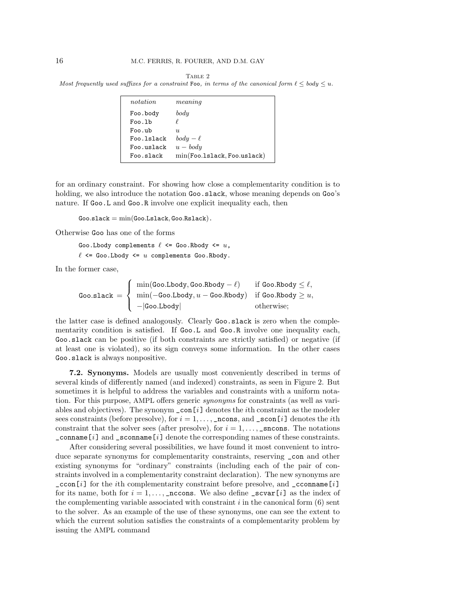Table 2 *Most frequently used suffixes for a constraint* Foo, in terms of the canonical form  $\ell$  < body < u.

| meaning                           |
|-----------------------------------|
| $_{body}$                         |
|                                   |
| $\mathfrak{u}$                    |
| $body - \ell$                     |
| $u - body$                        |
| $min($ Foo.lslack, Foo.uslack $)$ |
|                                   |

for an ordinary constraint. For showing how close a complementarity condition is to holding, we also introduce the notation Goo.slack, whose meaning depends on Goo's nature. If Goo.L and Goo.R involve one explicit inequality each, then

Goo*.*slack = min(Goo*.*Lslack*,* Goo*.*Rslack).

Otherwise Goo has one of the forms

Goo.Lbody complements  $\ell \leq$  Goo.Rbody  $\leq u$ ,  $\ell$  <= Goo.Lbody <=  $u$  complements Goo.Rbody.

In the former case,

Goo.slack =  $\sqrt{ }$  $\bigg)$  $\overline{1}$  $\min(\texttt{Goo}.\texttt{Lbody},\texttt{Goo}. \texttt{Rbody}-\ell)$  if  $\texttt{Goo}. \texttt{Rbody}\leq \ell,$ min(−Goo*.*Lbody*, u* − Goo*.*Rbody) if Goo*.*Rbody ≥ *u,* −|Goo*.*Lbody| otherwise;

the latter case is defined analogously. Clearly Goo.slack is zero when the complementarity condition is satisfied. If Goo.L and Goo.R involve one inequality each, Goo.slack can be positive (if both constraints are strictly satisfied) or negative (if at least one is violated), so its sign conveys some information. In the other cases Goo.slack is always nonpositive.

**7.2. Synonyms.** Models are usually most conveniently described in terms of several kinds of differently named (and indexed) constraints, as seen in Figure 2. But sometimes it is helpful to address the variables and constraints with a uniform notation. For this purpose, AMPL offers generic synonyms for constraints (as well as variables and objectives). The synonym  $\text{\texttt{\_con}}[i]$  denotes the *i*th constraint as the modeler sees constraints (before presolve), for  $i = 1, \ldots, \text{rions}$ , and  $\text{rson}[i]$  denotes the *i*th constraint that the solver sees (after presolve), for  $i = 1, \ldots, \text{~sncons}$ . The notations  $\text{\textendash}$  conname [i] and  $\text{\textendash}$  sconname [i] denote the corresponding names of these constraints.

After considering several possibilities, we have found it most convenient to introduce separate synonyms for complementarity constraints, reserving \_con and other existing synonyms for "ordinary" constraints (including each of the pair of constraints involved in a complementarity constraint declaration). The new synonyms are  $\text{\tt \_\ccosh[i]}$  for the *i*th complementarity constraint before presolve, and  $\text{\tt \_\_cconnane}[i]$ for its name, both for  $i = 1, \ldots, \text{nccons.}$  We also define  $\text{Sovar}[i]$  as the index of the complementing variable associated with constraint *i* in the canonical form (6) sent to the solver. As an example of the use of these synonyms, one can see the extent to which the current solution satisfies the constraints of a complementarity problem by issuing the AMPL command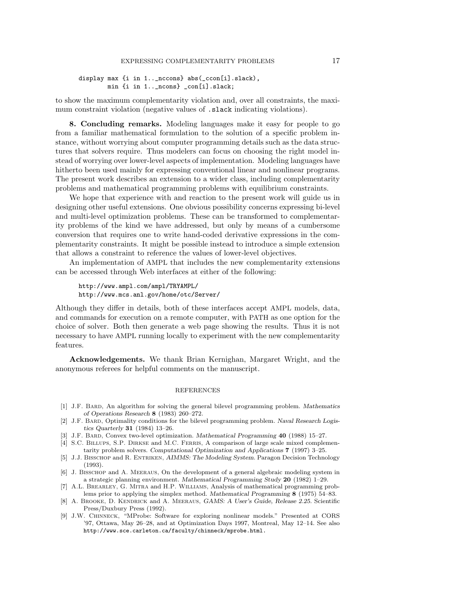```
display max {i in 1.._nccons} abs(_ccon[i].slack),
        min {i in 1.._ncons} _con[i].slack;
```
to show the maximum complementarity violation and, over all constraints, the maximum constraint violation (negative values of  $\mathsf{.slack}\$ indicating violations).

**8. Concluding remarks.** Modeling languages make it easy for people to go from a familiar mathematical formulation to the solution of a specific problem instance, without worrying about computer programming details such as the data structures that solvers require. Thus modelers can focus on choosing the right model instead of worrying over lower-level aspects of implementation. Modeling languages have hitherto been used mainly for expressing conventional linear and nonlinear programs. The present work describes an extension to a wider class, including complementarity problems and mathematical programming problems with equilibrium constraints.

We hope that experience with and reaction to the present work will guide us in designing other useful extensions. One obvious possibility concerns expressing bi-level and multi-level optimization problems. These can be transformed to complementarity problems of the kind we have addressed, but only by means of a cumbersome conversion that requires one to write hand-coded derivative expressions in the complementarity constraints. It might be possible instead to introduce a simple extension that allows a constraint to reference the values of lower-level objectives.

An implementation of AMPL that includes the new complementarity extensions can be accessed through Web interfaces at either of the following:

## http://www.ampl.com/ampl/TRYAMPL/ http://www.mcs.anl.gov/home/otc/Server/

Although they differ in details, both of these interfaces accept AMPL models, data, and commands for execution on a remote computer, with PATH as one option for the choice of solver. Both then generate a web page showing the results. Thus it is not necessary to have AMPL running locally to experiment with the new complementarity features.

**Acknowledgements.** We thank Brian Kernighan, Margaret Wright, and the anonymous referees for helpful comments on the manuscript.

#### REFERENCES

- [1] J.F. Bard, An algorithm for solving the general bilevel programming problem. *Mathematics of Operations Research* **8** (1983) 260–272.
- [2] J.F. Bard, Optimality conditions for the bilevel programming problem. *Naval Research Logistics Quarterly* **31** (1984) 13–26.
- [3] J.F. Bard, Convex two-level optimization. *Mathematical Programming* **40** (1988) 15–27.
- [4] S.C. Billups, S.P. Dirkse and M.C. Ferris, A comparison of large scale mixed complementarity problem solvers. *Computational Optimization and Applications* **7** (1997) 3–25.
- [5] J.J. Bisschop and R. Entriken, *AIMMS: The Modeling System.* Paragon Decision Technology (1993).
- [6] J. Bisschop and A. Meeraus, On the development of a general algebraic modeling system in a strategic planning environment. *Mathematical Programming Study* **20** (1982) 1–29.
- [7] A.L. Brearley, G. Mitra and H.P. Williams, Analysis of mathematical programming problems prior to applying the simplex method. *Mathematical Programming* **8** (1975) 54–83.
- [8] A. Brooke, D. Kendrick and A. Meeraus, *GAMS: A User's Guide, Release 2.25.* Scientific Press/Duxbury Press (1992).
- [9] J.W. Chinneck, "MProbe: Software for exploring nonlinear models." Presented at CORS '97, Ottawa, May 26–28, and at Optimization Days 1997, Montreal, May 12–14. See also http://www.sce.carleton.ca/faculty/chinneck/mprobe.html.